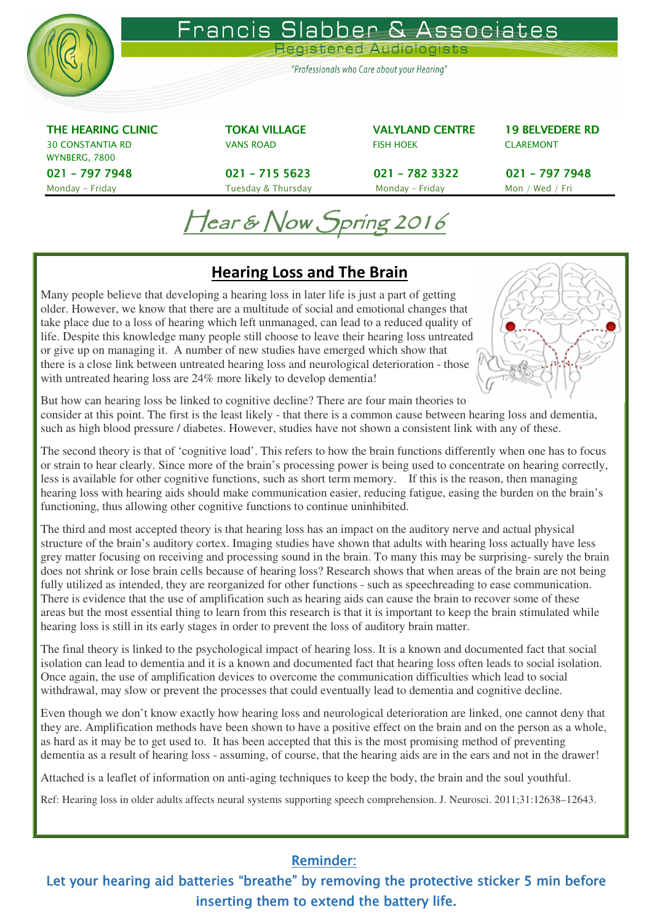

# $\sqrt{e}$ ar & Now  $\sqrt{2}$ pring 2016

## **Hearing Loss and The Brain**

Many people believe that developing a hearing loss in later life is just a part of getting older. However, we know that there are a multitude of social and emotional changes that take place due to a loss of hearing which left unmanaged, can lead to a reduced quality of life. Despite this knowledge many people still choose to leave their hearing loss untreated or give up on managing it. A number of new studies have emerged which show that there is a close link between untreated hearing loss and neurological deterioration - those with untreated hearing loss are 24% more likely to develop dementia!



But how can hearing loss be linked to cognitive decline? There are four main theories to consider at this point. The first is the least likely - that there is a common cause between hearing loss and dementia, such as high blood pressure / diabetes. However, studies have not shown a consistent link with any of these.

The second theory is that of 'cognitive load'. This refers to how the brain functions differently when one has to focus or strain to hear clearly. Since more of the brain's processing power is being used to concentrate on hearing correctly, less is available for other cognitive functions, such as short term memory. If this is the reason, then managing hearing loss with hearing aids should make communication easier, reducing fatigue, easing the burden on the brain's functioning, thus allowing other cognitive functions to continue uninhibited.

The third and most accepted theory is that hearing loss has an impact on the auditory nerve and actual physical structure of the brain's auditory cortex. Imaging studies have shown that adults with hearing loss actually have less grey matter focusing on receiving and processing sound in the brain. To many this may be surprising- surely the brain does not shrink or lose brain cells because of hearing loss? Research shows that when areas of the brain are not being fully utilized as intended, they are reorganized for other functions - such as speechreading to ease communication. There is evidence that the use of amplification such as hearing aids can cause the brain to recover some of these areas but the most essential thing to learn from this research is that it is important to keep the brain stimulated while hearing loss is still in its early stages in order to prevent the loss of auditory brain matter.

The final theory is linked to the psychological impact of hearing loss. It is a known and documented fact that social isolation can lead to dementia and it is a known and documented fact that hearing loss often leads to social isolation. Once again, the use of amplification devices to overcome the communication difficulties which lead to social withdrawal, may slow or prevent the processes that could eventually lead to dementia and cognitive decline.

Even though we don't know exactly how hearing loss and neurological deterioration are linked, one cannot deny that they are. Amplification methods have been shown to have a positive effect on the brain and on the person as a whole, as hard as it may be to get used to. It has been accepted that this is the most promising method of preventing dementia as a result of hearing loss - assuming, of course, that the hearing aids are in the ears and not in the drawer!

Attached is a leaflet of information on anti-aging techniques to keep the body, the brain and the soul youthful.

Ref: Hearing loss in older adults affects neural systems supporting speech comprehension. J. Neurosci. 2011;31:12638–12643.

*Reminder: Reminder:* 

Let your hearing aid batteries "breathe" by removing the protective sticker 5 min before *inserting them to extend the battery life.*